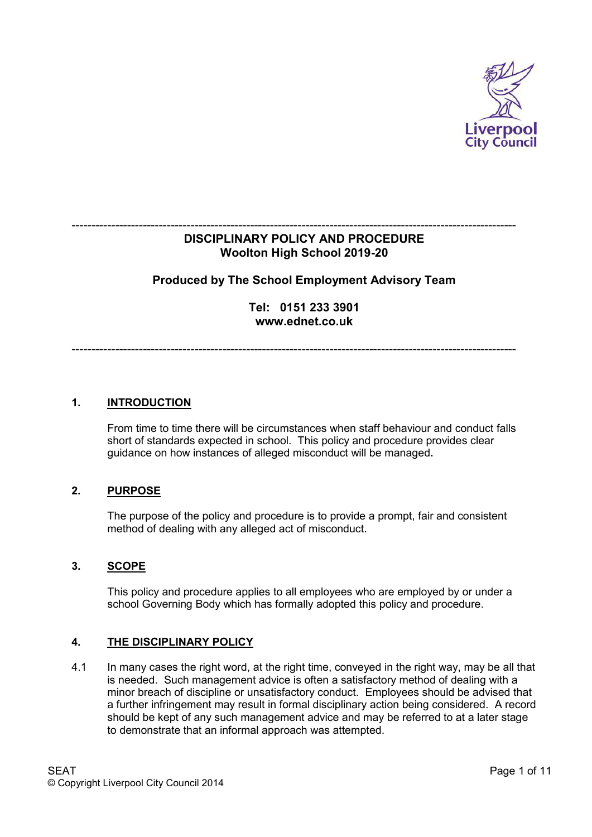

### ---------------------------------------------------------------------------------------------------------------- **DISCIPLINARY POLICY AND PROCEDURE Woolton High School 2019-20**

# **Produced by The School Employment Advisory Team**

**Tel: 0151 233 3901 www.ednet.co.uk**

----------------------------------------------------------------------------------------------------------------

### **1. INTRODUCTION**

 From time to time there will be circumstances when staff behaviour and conduct falls short of standards expected in school. This policy and procedure provides clear guidance on how instances of alleged misconduct will be managed**.**

### **2. PURPOSE**

 The purpose of the policy and procedure is to provide a prompt, fair and consistent method of dealing with any alleged act of misconduct.

#### **3. SCOPE**

 This policy and procedure applies to all employees who are employed by or under a school Governing Body which has formally adopted this policy and procedure.

### **4. THE DISCIPLINARY POLICY**

4.1 In many cases the right word, at the right time, conveyed in the right way, may be all that is needed. Such management advice is often a satisfactory method of dealing with a minor breach of discipline or unsatisfactory conduct. Employees should be advised that a further infringement may result in formal disciplinary action being considered. A record should be kept of any such management advice and may be referred to at a later stage to demonstrate that an informal approach was attempted.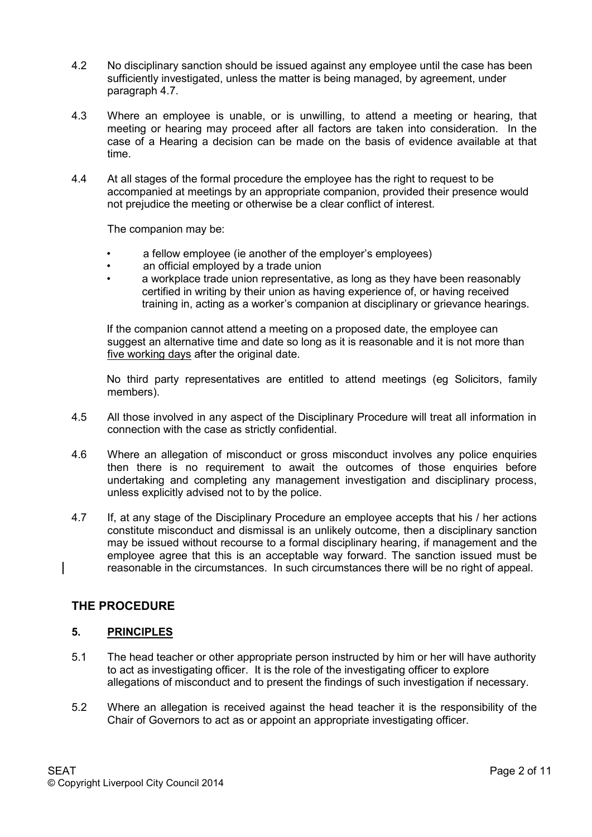- 4.2 No disciplinary sanction should be issued against any employee until the case has been sufficiently investigated, unless the matter is being managed, by agreement, under paragraph 4.7.
- 4.3 Where an employee is unable, or is unwilling, to attend a meeting or hearing, that meeting or hearing may proceed after all factors are taken into consideration. In the case of a Hearing a decision can be made on the basis of evidence available at that time.
- 4.4 At all stages of the formal procedure the employee has the right to request to be accompanied at meetings by an appropriate companion, provided their presence would not prejudice the meeting or otherwise be a clear conflict of interest.

The companion may be:

- a fellow employee (ie another of the employer's employees)
- an official employed by a trade union
- a workplace trade union representative, as long as they have been reasonably certified in writing by their union as having experience of, or having received training in, acting as a worker's companion at disciplinary or grievance hearings.

If the companion cannot attend a meeting on a proposed date, the employee can suggest an alternative time and date so long as it is reasonable and it is not more than five working days after the original date.

No third party representatives are entitled to attend meetings (eg Solicitors, family members).

- 4.5 All those involved in any aspect of the Disciplinary Procedure will treat all information in connection with the case as strictly confidential.
- 4.6 Where an allegation of misconduct or gross misconduct involves any police enquiries then there is no requirement to await the outcomes of those enquiries before undertaking and completing any management investigation and disciplinary process, unless explicitly advised not to by the police.
- 4.7 If, at any stage of the Disciplinary Procedure an employee accepts that his / her actions constitute misconduct and dismissal is an unlikely outcome, then a disciplinary sanction may be issued without recourse to a formal disciplinary hearing, if management and the employee agree that this is an acceptable way forward. The sanction issued must be reasonable in the circumstances. In such circumstances there will be no right of appeal.

## **THE PROCEDURE**

#### **5. PRINCIPLES**

- 5.1 The head teacher or other appropriate person instructed by him or her will have authority to act as investigating officer. It is the role of the investigating officer to explore allegations of misconduct and to present the findings of such investigation if necessary.
- 5.2 Where an allegation is received against the head teacher it is the responsibility of the Chair of Governors to act as or appoint an appropriate investigating officer.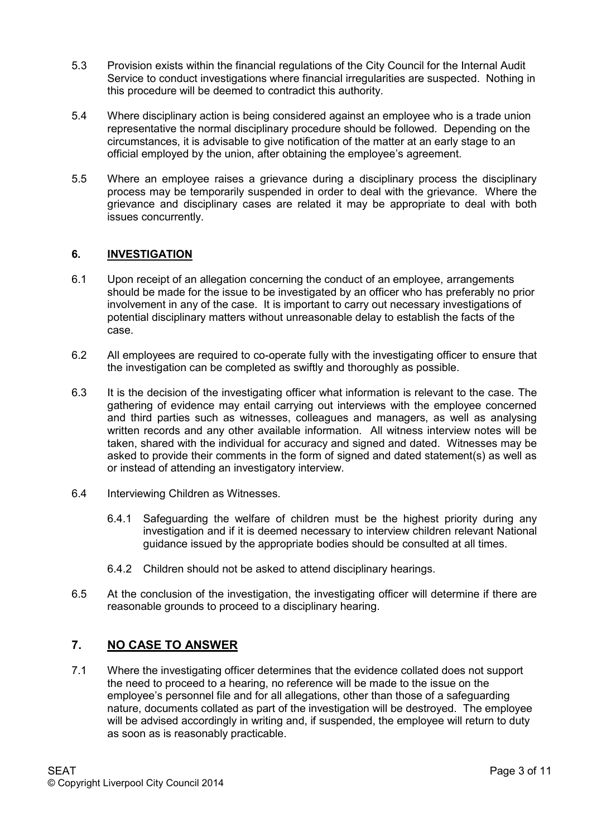- 5.3 Provision exists within the financial regulations of the City Council for the Internal Audit Service to conduct investigations where financial irregularities are suspected. Nothing in this procedure will be deemed to contradict this authority.
- 5.4 Where disciplinary action is being considered against an employee who is a trade union representative the normal disciplinary procedure should be followed. Depending on the circumstances, it is advisable to give notification of the matter at an early stage to an official employed by the union, after obtaining the employee's agreement.
- 5.5 Where an employee raises a grievance during a disciplinary process the disciplinary process may be temporarily suspended in order to deal with the grievance. Where the grievance and disciplinary cases are related it may be appropriate to deal with both issues concurrently.

### **6. INVESTIGATION**

- 6.1 Upon receipt of an allegation concerning the conduct of an employee, arrangements should be made for the issue to be investigated by an officer who has preferably no prior involvement in any of the case. It is important to carry out necessary investigations of potential disciplinary matters without unreasonable delay to establish the facts of the case.
- 6.2 All employees are required to co-operate fully with the investigating officer to ensure that the investigation can be completed as swiftly and thoroughly as possible.
- 6.3 It is the decision of the investigating officer what information is relevant to the case. The gathering of evidence may entail carrying out interviews with the employee concerned and third parties such as witnesses, colleagues and managers, as well as analysing written records and any other available information. All witness interview notes will be taken, shared with the individual for accuracy and signed and dated. Witnesses may be asked to provide their comments in the form of signed and dated statement(s) as well as or instead of attending an investigatory interview.
- 6.4 Interviewing Children as Witnesses.
	- 6.4.1 Safeguarding the welfare of children must be the highest priority during any investigation and if it is deemed necessary to interview children relevant National guidance issued by the appropriate bodies should be consulted at all times.
	- 6.4.2 Children should not be asked to attend disciplinary hearings.
- 6.5 At the conclusion of the investigation, the investigating officer will determine if there are reasonable grounds to proceed to a disciplinary hearing.

# **7. NO CASE TO ANSWER**

7.1 Where the investigating officer determines that the evidence collated does not support the need to proceed to a hearing, no reference will be made to the issue on the employee's personnel file and for all allegations, other than those of a safeguarding nature, documents collated as part of the investigation will be destroyed. The employee will be advised accordingly in writing and, if suspended, the employee will return to duty as soon as is reasonably practicable.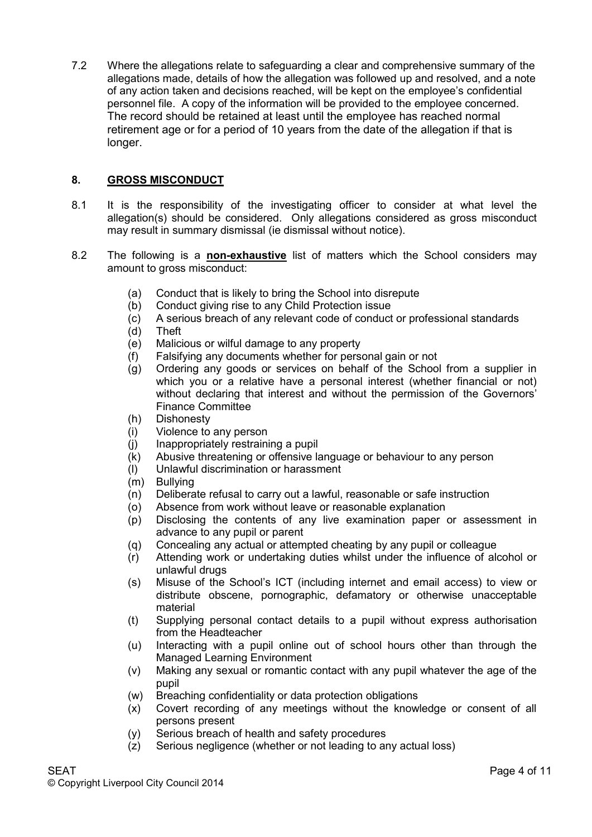7.2 Where the allegations relate to safeguarding a clear and comprehensive summary of the allegations made, details of how the allegation was followed up and resolved, and a note of any action taken and decisions reached, will be kept on the employee's confidential personnel file. A copy of the information will be provided to the employee concerned. The record should be retained at least until the employee has reached normal retirement age or for a period of 10 years from the date of the allegation if that is longer.

## **8. GROSS MISCONDUCT**

- 8.1 It is the responsibility of the investigating officer to consider at what level the allegation(s) should be considered. Only allegations considered as gross misconduct may result in summary dismissal (ie dismissal without notice).
- 8.2 The following is a **non-exhaustive** list of matters which the School considers may amount to gross misconduct:
	- (a) Conduct that is likely to bring the School into disrepute
	- (b) Conduct giving rise to any Child Protection issue
	- (c) A serious breach of any relevant code of conduct or professional standards
	- (d) Theft
	- (e) Malicious or wilful damage to any property
	- (f) Falsifying any documents whether for personal gain or not
	- (g) Ordering any goods or services on behalf of the School from a supplier in which you or a relative have a personal interest (whether financial or not) without declaring that interest and without the permission of the Governors' Finance Committee
	- (h) Dishonesty
	- (i) Violence to any person
	- (j) Inappropriately restraining a pupil
	- (k) Abusive threatening or offensive language or behaviour to any person
	- (l) Unlawful discrimination or harassment
	- (m) Bullying
	- (n) Deliberate refusal to carry out a lawful, reasonable or safe instruction
	- (o) Absence from work without leave or reasonable explanation
	- (p) Disclosing the contents of any live examination paper or assessment in advance to any pupil or parent
	- (q) Concealing any actual or attempted cheating by any pupil or colleague
	- (r) Attending work or undertaking duties whilst under the influence of alcohol or unlawful drugs
	- (s) Misuse of the School's ICT (including internet and email access) to view or distribute obscene, pornographic, defamatory or otherwise unacceptable material
	- (t) Supplying personal contact details to a pupil without express authorisation from the Headteacher
	- (u) Interacting with a pupil online out of school hours other than through the Managed Learning Environment
	- (v) Making any sexual or romantic contact with any pupil whatever the age of the pupil
	- (w) Breaching confidentiality or data protection obligations
	- (x) Covert recording of any meetings without the knowledge or consent of all persons present
	- (y) Serious breach of health and safety procedures
	- (z) Serious negligence (whether or not leading to any actual loss)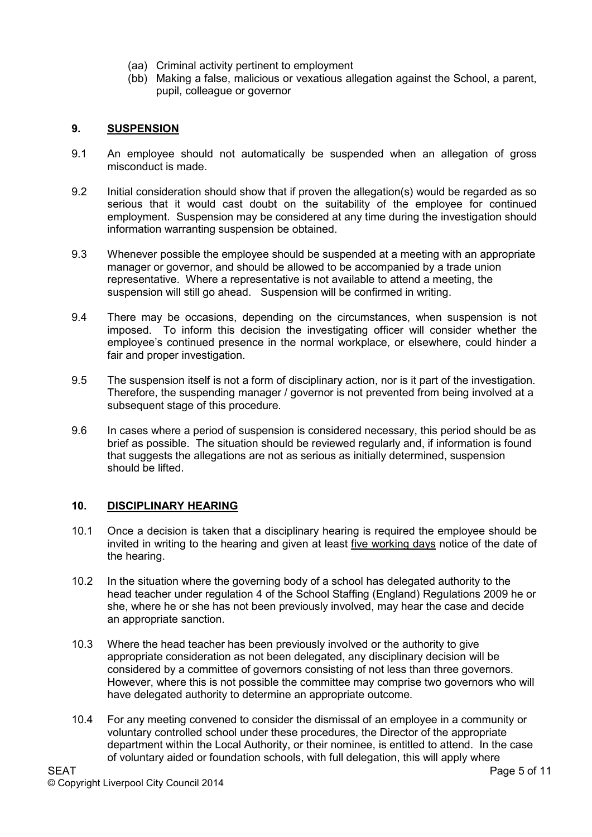- (aa) Criminal activity pertinent to employment
- (bb) Making a false, malicious or vexatious allegation against the School, a parent, pupil, colleague or governor

## **9. SUSPENSION**

- 9.1 An employee should not automatically be suspended when an allegation of gross misconduct is made.
- 9.2 Initial consideration should show that if proven the allegation(s) would be regarded as so serious that it would cast doubt on the suitability of the employee for continued employment. Suspension may be considered at any time during the investigation should information warranting suspension be obtained.
- 9.3 Whenever possible the employee should be suspended at a meeting with an appropriate manager or governor, and should be allowed to be accompanied by a trade union representative. Where a representative is not available to attend a meeting, the suspension will still go ahead. Suspension will be confirmed in writing.
- 9.4 There may be occasions, depending on the circumstances, when suspension is not imposed. To inform this decision the investigating officer will consider whether the employee's continued presence in the normal workplace, or elsewhere, could hinder a fair and proper investigation.
- 9.5 The suspension itself is not a form of disciplinary action, nor is it part of the investigation. Therefore, the suspending manager / governor is not prevented from being involved at a subsequent stage of this procedure.
- 9.6 In cases where a period of suspension is considered necessary, this period should be as brief as possible. The situation should be reviewed regularly and, if information is found that suggests the allegations are not as serious as initially determined, suspension should be lifted.

### **10. DISCIPLINARY HEARING**

- 10.1 Once a decision is taken that a disciplinary hearing is required the employee should be invited in writing to the hearing and given at least five working days notice of the date of the hearing.
- 10.2 In the situation where the governing body of a school has delegated authority to the head teacher under regulation 4 of the School Staffing (England) Regulations 2009 he or she, where he or she has not been previously involved, may hear the case and decide an appropriate sanction.
- 10.3 Where the head teacher has been previously involved or the authority to give appropriate consideration as not been delegated, any disciplinary decision will be considered by a committee of governors consisting of not less than three governors. However, where this is not possible the committee may comprise two governors who will have delegated authority to determine an appropriate outcome.
- 10.4 For any meeting convened to consider the dismissal of an employee in a community or voluntary controlled school under these procedures, the Director of the appropriate department within the Local Authority, or their nominee, is entitled to attend. In the case of voluntary aided or foundation schools, with full delegation, this will apply where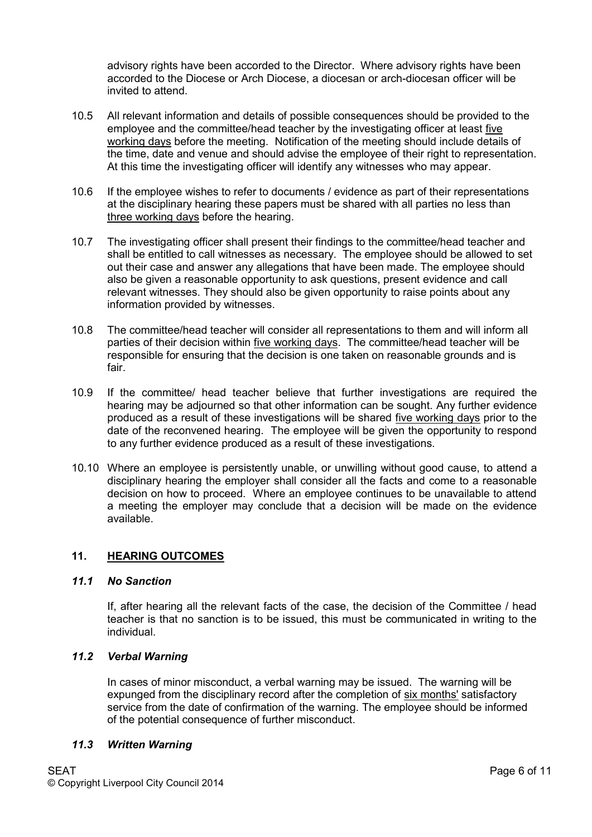advisory rights have been accorded to the Director. Where advisory rights have been accorded to the Diocese or Arch Diocese, a diocesan or arch-diocesan officer will be invited to attend.

- 10.5 All relevant information and details of possible consequences should be provided to the employee and the committee/head teacher by the investigating officer at least five working days before the meeting. Notification of the meeting should include details of the time, date and venue and should advise the employee of their right to representation. At this time the investigating officer will identify any witnesses who may appear.
- 10.6 If the employee wishes to refer to documents / evidence as part of their representations at the disciplinary hearing these papers must be shared with all parties no less than three working days before the hearing.
- 10.7 The investigating officer shall present their findings to the committee/head teacher and shall be entitled to call witnesses as necessary. The employee should be allowed to set out their case and answer any allegations that have been made. The employee should also be given a reasonable opportunity to ask questions, present evidence and call relevant witnesses. They should also be given opportunity to raise points about any information provided by witnesses.
- 10.8 The committee/head teacher will consider all representations to them and will inform all parties of their decision within five working days. The committee/head teacher will be responsible for ensuring that the decision is one taken on reasonable grounds and is fair.
- 10.9 If the committee/ head teacher believe that further investigations are required the hearing may be adjourned so that other information can be sought. Any further evidence produced as a result of these investigations will be shared five working days prior to the date of the reconvened hearing. The employee will be given the opportunity to respond to any further evidence produced as a result of these investigations.
- 10.10 Where an employee is persistently unable, or unwilling without good cause, to attend a disciplinary hearing the employer shall consider all the facts and come to a reasonable decision on how to proceed. Where an employee continues to be unavailable to attend a meeting the employer may conclude that a decision will be made on the evidence available.

### **11. HEARING OUTCOMES**

### *11.1 No Sanction*

 If, after hearing all the relevant facts of the case, the decision of the Committee / head teacher is that no sanction is to be issued, this must be communicated in writing to the individual.

### *11.2 Verbal Warning*

In cases of minor misconduct, a verbal warning may be issued. The warning will be expunged from the disciplinary record after the completion of six months' satisfactory service from the date of confirmation of the warning. The employee should be informed of the potential consequence of further misconduct.

#### *11.3 Written Warning*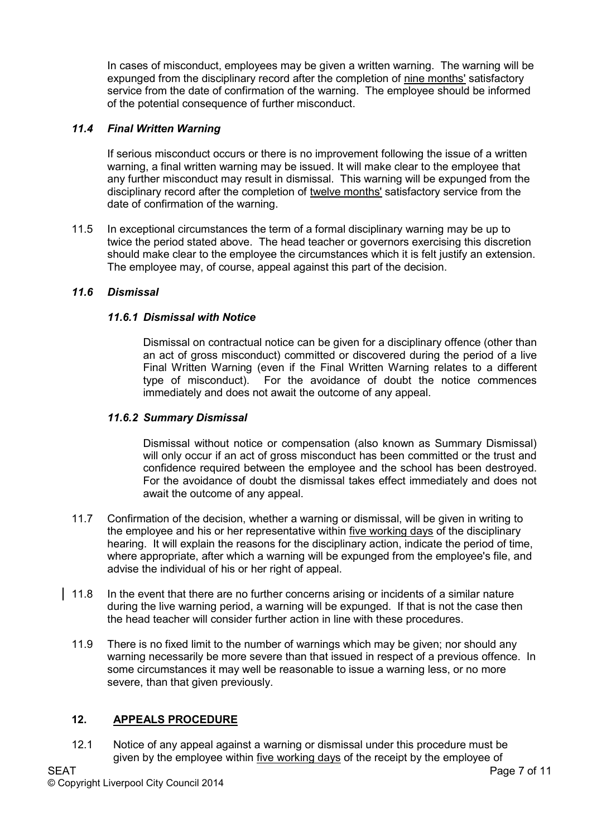In cases of misconduct, employees may be given a written warning. The warning will be expunged from the disciplinary record after the completion of nine months' satisfactory service from the date of confirmation of the warning. The employee should be informed of the potential consequence of further misconduct.

### *11.4 Final Written Warning*

 If serious misconduct occurs or there is no improvement following the issue of a written warning, a final written warning may be issued. It will make clear to the employee that any further misconduct may result in dismissal. This warning will be expunged from the disciplinary record after the completion of twelve months' satisfactory service from the date of confirmation of the warning.

11.5 In exceptional circumstances the term of a formal disciplinary warning may be up to twice the period stated above. The head teacher or governors exercising this discretion should make clear to the employee the circumstances which it is felt justify an extension. The employee may, of course, appeal against this part of the decision.

### *11.6 Dismissal*

### *11.6.1 Dismissal with Notice*

 Dismissal on contractual notice can be given for a disciplinary offence (other than an act of gross misconduct) committed or discovered during the period of a live Final Written Warning (even if the Final Written Warning relates to a different type of misconduct). For the avoidance of doubt the notice commences immediately and does not await the outcome of any appeal.

### *11.6.2 Summary Dismissal*

 Dismissal without notice or compensation (also known as Summary Dismissal) will only occur if an act of gross misconduct has been committed or the trust and confidence required between the employee and the school has been destroyed. For the avoidance of doubt the dismissal takes effect immediately and does not await the outcome of any appeal.

- 11.7 Confirmation of the decision, whether a warning or dismissal, will be given in writing to the employee and his or her representative within five working days of the disciplinary hearing. It will explain the reasons for the disciplinary action, indicate the period of time, where appropriate, after which a warning will be expunged from the employee's file, and advise the individual of his or her right of appeal.
- 11.8 In the event that there are no further concerns arising or incidents of a similar nature during the live warning period, a warning will be expunged. If that is not the case then the head teacher will consider further action in line with these procedures.
- 11.9 There is no fixed limit to the number of warnings which may be given; nor should any warning necessarily be more severe than that issued in respect of a previous offence. In some circumstances it may well be reasonable to issue a warning less, or no more severe, than that given previously.

## **12. APPEALS PROCEDURE**

12.1 Notice of any appeal against a warning or dismissal under this procedure must be given by the employee within five working days of the receipt by the employee of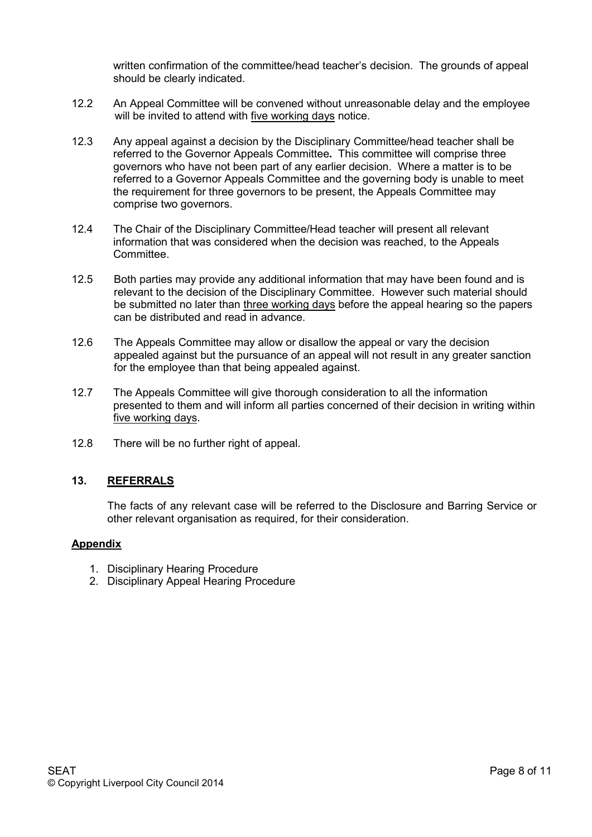written confirmation of the committee/head teacher's decision. The grounds of appeal should be clearly indicated.

- 12.2 An Appeal Committee will be convened without unreasonable delay and the employee will be invited to attend with five working days notice.
- 12.3 Any appeal against a decision by the Disciplinary Committee/head teacher shall be referred to the Governor Appeals Committee**.** This committee will comprise three governors who have not been part of any earlier decision. Where a matter is to be referred to a Governor Appeals Committee and the governing body is unable to meet the requirement for three governors to be present, the Appeals Committee may comprise two governors.
- 12.4 The Chair of the Disciplinary Committee/Head teacher will present all relevant information that was considered when the decision was reached, to the Appeals Committee.
- 12.5 Both parties may provide any additional information that may have been found and is relevant to the decision of the Disciplinary Committee. However such material should be submitted no later than three working days before the appeal hearing so the papers can be distributed and read in advance.
- 12.6 The Appeals Committee may allow or disallow the appeal or vary the decision appealed against but the pursuance of an appeal will not result in any greater sanction for the employee than that being appealed against.
- 12.7 The Appeals Committee will give thorough consideration to all the information presented to them and will inform all parties concerned of their decision in writing within five working days.
- 12.8 There will be no further right of appeal.

### **13. REFERRALS**

 The facts of any relevant case will be referred to the Disclosure and Barring Service or other relevant organisation as required, for their consideration.

#### **Appendix**

- 1. Disciplinary Hearing Procedure
- 2. Disciplinary Appeal Hearing Procedure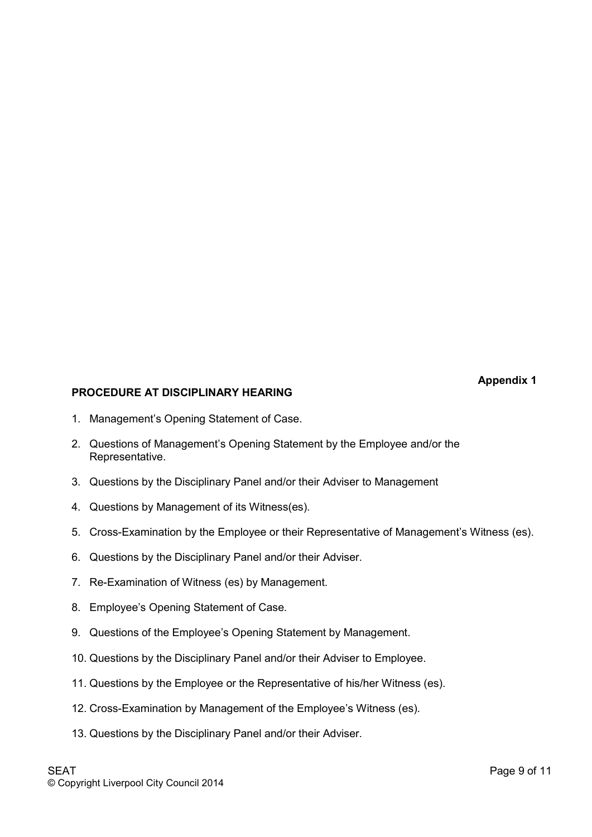**Appendix 1** 

# **PROCEDURE AT DISCIPLINARY HEARING**

- 1. Management's Opening Statement of Case.
- 2. Questions of Management's Opening Statement by the Employee and/or the Representative.
- 3. Questions by the Disciplinary Panel and/or their Adviser to Management
- 4. Questions by Management of its Witness(es).
- 5. Cross-Examination by the Employee or their Representative of Management's Witness (es).
- 6. Questions by the Disciplinary Panel and/or their Adviser.
- 7. Re-Examination of Witness (es) by Management.
- 8. Employee's Opening Statement of Case.
- 9. Questions of the Employee's Opening Statement by Management.
- 10. Questions by the Disciplinary Panel and/or their Adviser to Employee.
- 11. Questions by the Employee or the Representative of his/her Witness (es).
- 12. Cross-Examination by Management of the Employee's Witness (es).
- 13. Questions by the Disciplinary Panel and/or their Adviser.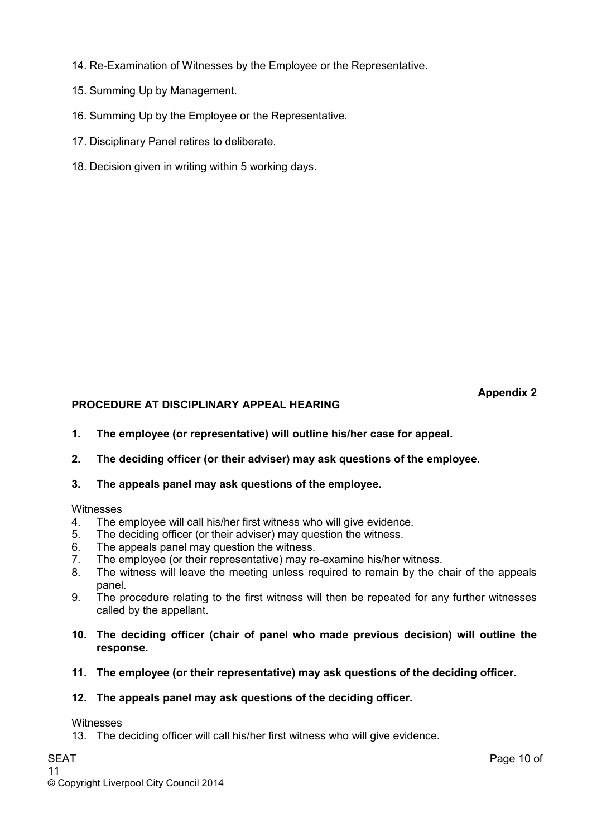- 14. Re-Examination of Witnesses by the Employee or the Representative.
- 15. Summing Up by Management.
- 16. Summing Up by the Employee or the Representative.
- 17. Disciplinary Panel retires to deliberate.
- 18. Decision given in writing within 5 working days.

### **Appendix 2**

## **PROCEDURE AT DISCIPLINARY APPEAL HEARING**

- **1. The employee (or representative) will outline his/her case for appeal.**
- **2. The deciding officer (or their adviser) may ask questions of the employee.**
- **3. The appeals panel may ask questions of the employee.**

### Witnesses

- 4. The employee will call his/her first witness who will give evidence.
- 5. The deciding officer (or their adviser) may question the witness.
- 6. The appeals panel may question the witness.
- 7. The employee (or their representative) may re-examine his/her witness.
- 8. The witness will leave the meeting unless required to remain by the chair of the appeals panel.
- 9. The procedure relating to the first witness will then be repeated for any further witnesses called by the appellant.
- **10. The deciding officer (chair of panel who made previous decision) will outline the response.**
- **11. The employee (or their representative) may ask questions of the deciding officer.**

## **12. The appeals panel may ask questions of the deciding officer.**

### Witnesses

13. The deciding officer will call his/her first witness who will give evidence.